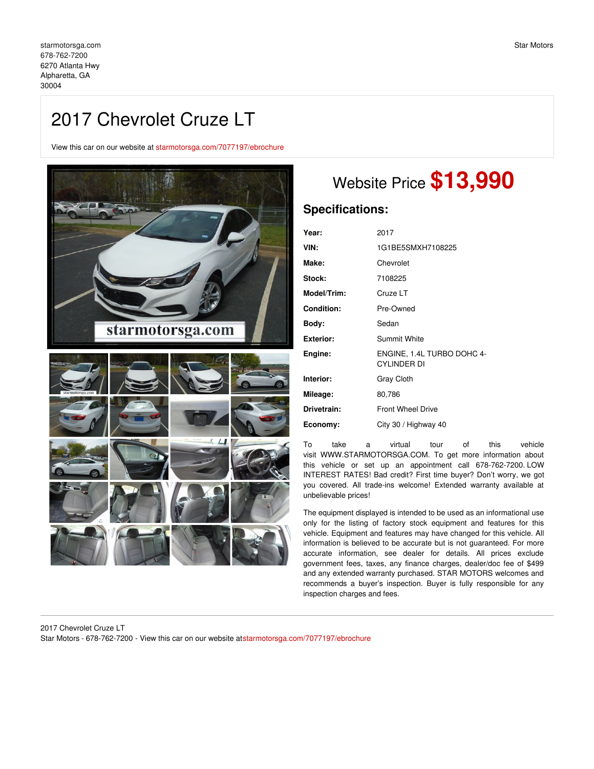# 2017 Chevrolet Cruze LT

View this car on our website at [starmotorsga.com/7077197/ebrochure](https://starmotorsga.com/vehicle/7077197/2017-chevrolet-cruze-lt-alpharetta-ga-30004/7077197/ebrochure)



# Website Price **\$13,990**

## **Specifications:**

| Year:              | 2017                                             |
|--------------------|--------------------------------------------------|
| VIN:               | 1G1BE5SMXH7108225                                |
| Make:              | Chevrolet                                        |
| Stock:             | 7108225                                          |
| <b>Model/Trim:</b> | Cruze LT                                         |
| <b>Condition:</b>  | Pre-Owned                                        |
| Body:              | Sedan                                            |
| Exterior:          | Summit White                                     |
| Engine:            | ENGINE, 1.4L TURBO DOHC 4-<br><b>CYLINDER DI</b> |
| Interior:          | <b>Gray Cloth</b>                                |
| Mileage:           | 80,786                                           |
| Drivetrain:        | <b>Front Wheel Drive</b>                         |
| Economy:           | City 30 / Highway 40                             |

To take a virtual tour of this vehicle visit WWW.STARMOTORSGA.COM. To get more information about this vehicle or set up an appointment call 678-762-7200. LOW INTEREST RATES! Bad credit? First time buyer? Don't worry, we got you covered. All trade-ins welcome! Extended warranty available at unbelievable prices!

The equipment displayed is intended to be used as an informational use only for the listing of factory stock equipment and features for this vehicle. Equipment and features may have changed for this vehicle. All information is believed to be accurate but is not guaranteed. For more accurate information, see dealer for details. All prices exclude government fees, taxes, any finance charges, dealer/doc fee of \$499 and any extended warranty purchased. STAR MOTORS welcomes and recommends a buyer's inspection. Buyer is fully responsible for any inspection charges and fees.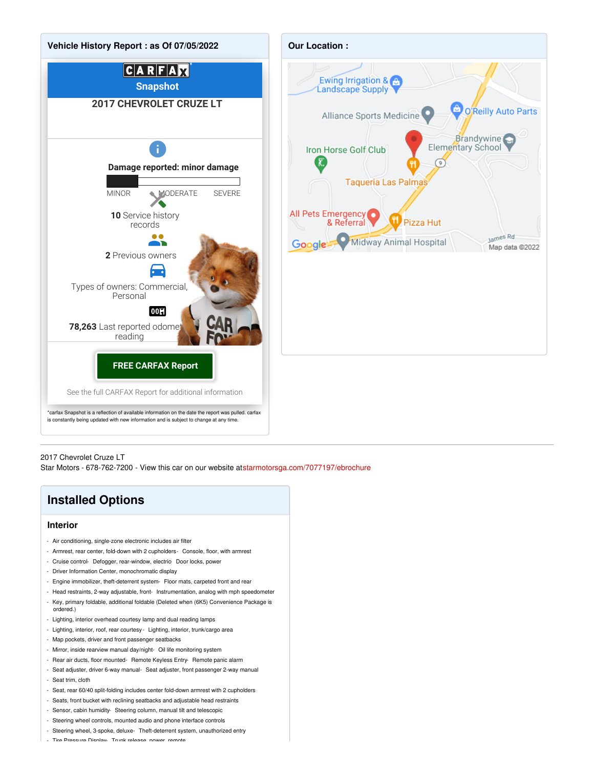



2017 Chevrolet Cruze LT

Star Motors - 678-762-7200 - View this car on our website at[starmotorsga.com/7077197/ebrochure](https://starmotorsga.com/vehicle/7077197/2017-chevrolet-cruze-lt-alpharetta-ga-30004/7077197/ebrochure)

# **Installed Options**

### **Interior**

- Air conditioning, single-zone electronic includes air filter
- Armrest, rear center, fold-down with 2 cupholders- Console, floor, with armrest
- Cruise control- Defogger, rear-window, electric- Door locks, power
- Driver Information Center, monochromatic display
- Engine immobilizer, theft-deterrent system- Floor mats, carpeted front and rear
- Head restraints, 2-way adjustable, front- Instrumentation, analog with mph speedometer
- Key, primary foldable, additional foldable (Deleted when (6K5) Convenience Package is ordered.)
- Lighting, interior overhead courtesy lamp and dual reading lamps
- Lighting, interior, roof, rear courtesy Lighting, interior, trunk/cargo area
- Map pockets, driver and front passenger seatbacks
- Mirror, inside rearview manual day/night- Oil life monitoring system
- Rear air ducts, floor mounted- Remote Keyless Entry- Remote panic alarm
- Seat adjuster, driver 6-way manual- Seat adjuster, front passenger 2-way manual - Seat trim, cloth
- Seat, rear 60/40 split-folding includes center fold-down armrest with 2 cupholders
- Seats, front bucket with reclining seatbacks and adjustable head restraints
- Sensor, cabin humidity- Steering column, manual tilt and telescopic
- Steering wheel controls, mounted audio and phone interface controls
- Steering wheel, 3-spoke, deluxe- Theft-deterrent system, unauthorized entry
- Tire Pressure Display- Trunk release, power, remote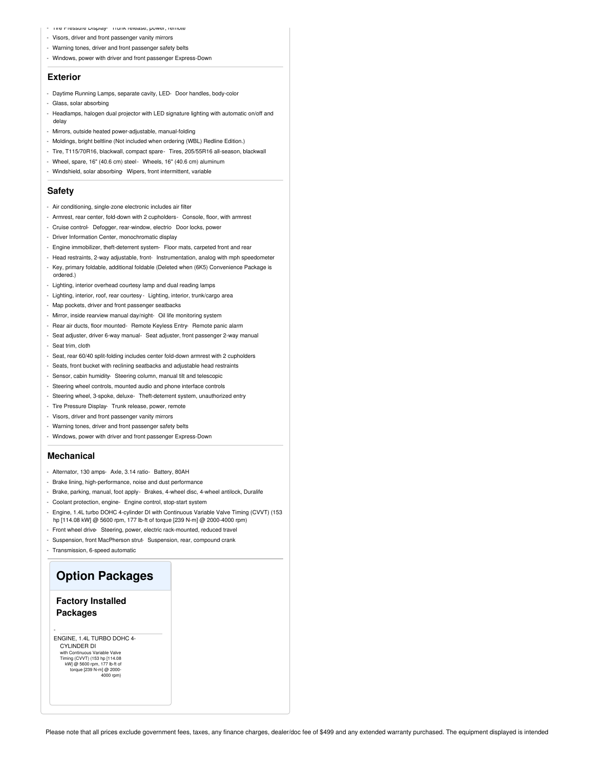- Tire Pressure Display- Trunk release, power, remote
- Visors, driver and front passenger vanity mirrors
- Warning tones, driver and front passenger safety belts
- Windows, power with driver and front passenger Express-Down

#### **Exterior**

- Daytime Running Lamps, separate cavity, LED- Door handles, body-color
- Glass, solar absorbing
- Headlamps, halogen dual projector with LED signature lighting with automatic on/off and delay
- Mirrors, outside heated power-adjustable, manual-folding
- Moldings, bright beltline (Not included when ordering (WBL) Redline Edition.)
- Tire, T115/70R16, blackwall, compact spare- Tires, 205/55R16 all-season, blackwall
- Wheel, spare, 16" (40.6 cm) steel- Wheels, 16" (40.6 cm) aluminum
- Windshield, solar absorbing- Wipers, front intermittent, variable

#### **Safety**

- Air conditioning, single-zone electronic includes air filter
- Armrest, rear center, fold-down with 2 cupholders- Console, floor, with armrest
- Cruise control- Defogger, rear-window, electric- Door locks, power
- Driver Information Center, monochromatic display
- Engine immobilizer, theft-deterrent system- Floor mats, carpeted front and rear
- Head restraints, 2-way adjustable, front- Instrumentation, analog with mph speedometer
- Key, primary foldable, additional foldable (Deleted when (6K5) Convenience Package is ordered.)
- Lighting, interior overhead courtesy lamp and dual reading lamps
- Lighting, interior, roof, rear courtesy Lighting, interior, trunk/cargo area
- Map pockets, driver and front passenger seatbacks
- Mirror, inside rearview manual day/night- Oil life monitoring system
- Rear air ducts, floor mounted- Remote Keyless Entry- Remote panic alarm
- Seat adjuster, driver 6-way manual- Seat adjuster, front passenger 2-way manual - Seat trim, cloth
- Seat, rear 60/40 split-folding includes center fold-down armrest with 2 cupholders
- Seats, front bucket with reclining seatbacks and adjustable head restraints
- Sensor, cabin humidity- Steering column, manual tilt and telescopic
- Steering wheel controls, mounted audio and phone interface controls
- Steering wheel, 3-spoke, deluxe- Theft-deterrent system, unauthorized entry
- Tire Pressure Display- Trunk release, power, remote
- Visors, driver and front passenger vanity mirrors
- Warning tones, driver and front passenger safety belts
- Windows, power with driver and front passenger Express-Down

#### **Mechanical**

- Alternator, 130 amps- Axle, 3.14 ratio- Battery, 80AH
- Brake lining, high-performance, noise and dust performance
- Brake, parking, manual, foot apply- Brakes, 4-wheel disc, 4-wheel antilock, Duralife
- Coolant protection, engine- Engine control, stop-start system
- Engine, 1.4L turbo DOHC 4-cylinder DI with Continuous Variable Valve Timing (CVVT) (153 hp [114.08 kW] @ 5600 rpm, 177 lb-ft of torque [239 N-m] @ 2000-4000 rpm)
- Front wheel drive- Steering, power, electric rack-mounted, reduced travel
- Suspension, front MacPherson strut- Suspension, rear, compound crank
- Transmission, 6-speed automatic

## **Option Packages**

### **Factory Installed Packages**

-

ENGINE, 1.4L TURBO DOHC 4- CYLINDER DI with Continuous Variable Valve Timing (CVVT) (153 hp [114.08 kW] @ 5600 rpm, 177 lb-ft of torque [239 N-m] @ 2000- 4000 rpm)